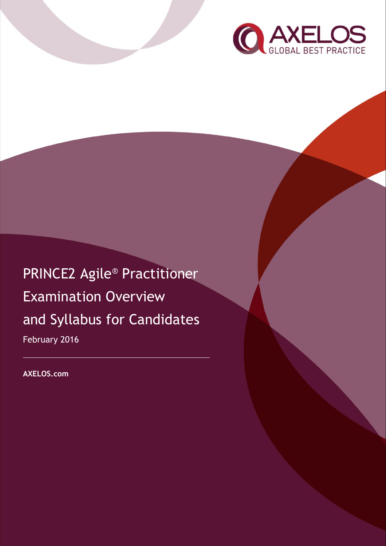

PRINCE2 Agile® Practitioner Examination Overview and Syllabus for Candidates February 2016

**AXELOS.com**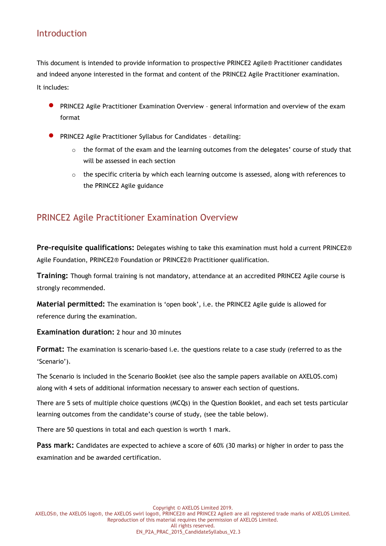### Introduction

This document is intended to provide information to prospective PRINCE2 Agile® Practitioner candidates and indeed anyone interested in the format and content of the PRINCE2 Agile Practitioner examination. It includes:

- PRINCE2 Agile Practitioner Examination Overview general information and overview of the exam format
- PRINCE2 Agile Practitioner Syllabus for Candidates detailing:
	- $\circ$  the format of the exam and the learning outcomes from the delegates' course of study that will be assessed in each section
	- $\circ$  the specific criteria by which each learning outcome is assessed, along with references to the PRINCE2 Agile guidance

## PRINCE2 Agile Practitioner Examination Overview

**Pre-requisite qualifications:** Delegates wishing to take this examination must hold a current PRINCE2® Agile Foundation, PRINCE2® Foundation or PRINCE2® Practitioner qualification.

**Training:** Though formal training is not mandatory, attendance at an accredited PRINCE2 Agile course is strongly recommended.

**Material permitted:** The examination is 'open book', i.e. the PRINCE2 Agile guide is allowed for reference during the examination.

**Examination duration:** 2 hour and 30 minutes

**Format:** The examination is scenario-based i.e. the questions relate to a case study (referred to as the 'Scenario').

The Scenario is included in the Scenario Booklet (see also the sample papers available on AXELOS.com) along with 4 sets of additional information necessary to answer each section of questions.

There are 5 sets of multiple choice questions (MCQs) in the Question Booklet, and each set tests particular learning outcomes from the candidate's course of study, (see the table below).

There are 50 questions in total and each question is worth 1 mark.

**Pass mark:** Candidates are expected to achieve a score of 60% (30 marks) or higher in order to pass the examination and be awarded certification.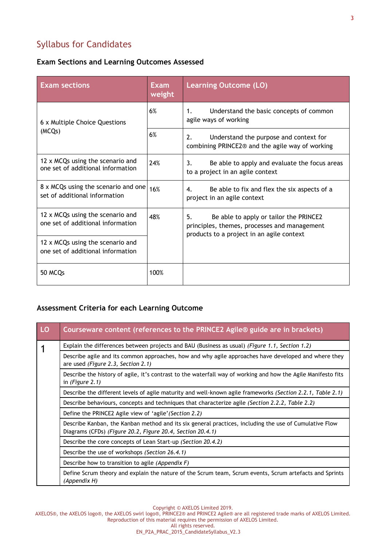# Syllabus for Candidates

### **Exam Sections and Learning Outcomes Assessed**

| <b>Exam sections</b>                                                  | Exam<br>weight | <b>Learning Outcome (LO)</b>                                                                                                              |
|-----------------------------------------------------------------------|----------------|-------------------------------------------------------------------------------------------------------------------------------------------|
| 6 x Multiple Choice Questions<br>(MCQs)                               | 6%             | Understand the basic concepts of common<br>1.<br>agile ways of working                                                                    |
|                                                                       | 6%             | 2.<br>Understand the purpose and context for<br>combining PRINCE2 <sup>®</sup> and the agile way of working                               |
| 12 x MCQs using the scenario and<br>one set of additional information | 24%            | Be able to apply and evaluate the focus areas<br>3.<br>to a project in an agile context                                                   |
| 8 x MCQs using the scenario and one<br>set of additional information  | 16%            | Be able to fix and flex the six aspects of a<br>4.<br>project in an agile context                                                         |
| 12 x MCQs using the scenario and<br>one set of additional information | 48%            | 5.<br>Be able to apply or tailor the PRINCE2<br>principles, themes, processes and management<br>products to a project in an agile context |
| 12 x MCQs using the scenario and<br>one set of additional information |                |                                                                                                                                           |
| 50 MCQs                                                               | 100%           |                                                                                                                                           |

#### **Assessment Criteria for each Learning Outcome**

| LO | Courseware content (references to the PRINCE2 Agile <sup>®</sup> guide are in brackets)                                                                              |
|----|----------------------------------------------------------------------------------------------------------------------------------------------------------------------|
|    | Explain the differences between projects and BAU (Business as usual) (Figure 1.1, Section 1.2)                                                                       |
|    | Describe agile and its common approaches, how and why agile approaches have developed and where they<br>are used (Figure 2.3, Section 2.1)                           |
|    | Describe the history of agile, it's contrast to the waterfall way of working and how the Agile Manifesto fits<br>in (Figure $2.1$ )                                  |
|    | Describe the different levels of agile maturity and well-known agile frameworks (Section 2.2.1, Table 2.1)                                                           |
|    | Describe behaviours, concepts and techniques that characterize agile (Section 2.2.2, Table 2.2)                                                                      |
|    | Define the PRINCE2 Agile view of 'agile' (Section 2.2)                                                                                                               |
|    | Describe Kanban, the Kanban method and its six general practices, including the use of Cumulative Flow<br>Diagrams (CFDs) (Figure 20.2, Figure 20.4, Section 20.4.1) |
|    | Describe the core concepts of Lean Start-up (Section 20.4.2)                                                                                                         |
|    | Describe the use of workshops (Section 26.4.1)                                                                                                                       |
|    | Describe how to transition to agile (Appendix F)                                                                                                                     |
|    | Define Scrum theory and explain the nature of the Scrum team, Scrum events, Scrum artefacts and Sprints<br>(Appendix H)                                              |

Copyright © AXELOS Limited 2019.

AXELOS®, the AXELOS logo®, the AXELOS swirl logo®, PRINCE2® and PRINCE2 Agile® are all registered trade marks of AXELOS Limited. Reproduction of this material requires the permission of AXELOS Limited.

All rights reserved.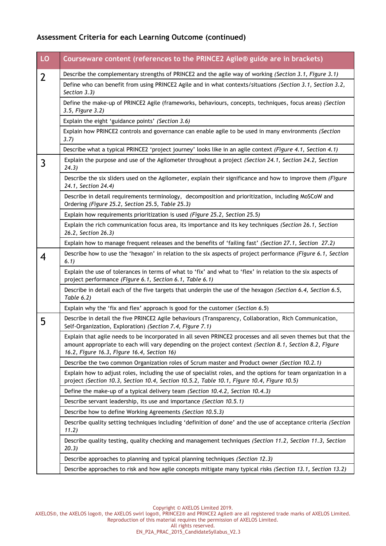### **Assessment Criteria for each Learning Outcome (continued)**

| LO             | Courseware content (references to the PRINCE2 Agile® guide are in brackets)                                                                                                                                                                                            |
|----------------|------------------------------------------------------------------------------------------------------------------------------------------------------------------------------------------------------------------------------------------------------------------------|
| $\overline{2}$ | Describe the complementary strengths of PRINCE2 and the agile way of working (Section 3.1, Figure 3.1)                                                                                                                                                                 |
|                | Define who can benefit from using PRINCE2 Agile and in what contexts/situations (Section 3.1, Section 3.2,<br>Section 3.3)                                                                                                                                             |
|                | Define the make-up of PRINCE2 Agile (frameworks, behaviours, concepts, techniques, focus areas) (Section<br>3.5, Figure 3.2)                                                                                                                                           |
|                | Explain the eight 'guidance points' (Section 3.6)                                                                                                                                                                                                                      |
|                | Explain how PRINCE2 controls and governance can enable agile to be used in many environments (Section<br>3.7)                                                                                                                                                          |
|                | Describe what a typical PRINCE2 'project journey' looks like in an agile context (Figure 4.1, Section 4.1)                                                                                                                                                             |
| 3              | Explain the purpose and use of the Agilometer throughout a project (Section 24.1, Section 24.2, Section<br>24.3)                                                                                                                                                       |
|                | Describe the six sliders used on the Agilometer, explain their significance and how to improve them (Figure<br>24.1, Section 24.4)                                                                                                                                     |
|                | Describe in detail requirements terminology, decomposition and prioritization, including MoSCoW and<br>Ordering (Figure 25.2, Section 25.5, Table 25.3)                                                                                                                |
|                | Explain how requirements prioritization is used (Figure 25.2, Section 25.5)                                                                                                                                                                                            |
|                | Explain the rich communication focus area, its importance and its key techniques (Section 26.1, Section<br>26.2, Section 26.3)                                                                                                                                         |
|                | Explain how to manage frequent releases and the benefits of 'failing fast' (Section 27.1, Section 27.2)                                                                                                                                                                |
| 4              | Describe how to use the 'hexagon' in relation to the six aspects of project performance (Figure 6.1, Section<br>6.1)                                                                                                                                                   |
|                | Explain the use of tolerances in terms of what to 'fix' and what to 'flex' in relation to the six aspects of<br>project performance (Figure 6.1, Section 6.1, Table 6.1)                                                                                               |
|                | Describe in detail each of the five targets that underpin the use of the hexagon (Section 6.4, Section 6.5,<br>Table 6.2)                                                                                                                                              |
|                | Explain why the 'fix and flex' approach is good for the customer (Section 6.5)                                                                                                                                                                                         |
| 5              | Describe in detail the five PRINCE2 Agile behaviours (Transparency, Collaboration, Rich Communication,<br>Self-Organization, Exploration) (Section 7.4, Figure 7.1)                                                                                                    |
|                | Explain that agile needs to be incorporated in all seven PRINCE2 processes and all seven themes but that the<br>amount appropriate to each will vary depending on the project context (Section 8.1, Section 8.2, Figure<br>16.2, Figure 16.3, Figure 16.4, Section 16) |
|                | Describe the two common Organization roles of Scrum master and Product owner (Section 10.2.1)                                                                                                                                                                          |
|                | Explain how to adjust roles, including the use of specialist roles, and the options for team organization in a<br>project (Section 10.3, Section 10.4, Section 10.5.2, Table 10.1, Figure 10.4, Figure 10.5)                                                           |
|                | Define the make-up of a typical delivery team (Section 10.4.2, Section 10.4.3)                                                                                                                                                                                         |
|                | Describe servant leadership, its use and importance (Section 10.5.1)                                                                                                                                                                                                   |
|                | Describe how to define Working Agreements (Section 10.5.3)                                                                                                                                                                                                             |
|                | Describe quality setting techniques including 'definition of done' and the use of acceptance criteria (Section<br>11.2)                                                                                                                                                |
|                | Describe quality testing, quality checking and management techniques (Section 11.2, Section 11.3, Section<br>20.3)                                                                                                                                                     |
|                | Describe approaches to planning and typical planning techniques (Section 12.3)                                                                                                                                                                                         |
|                | Describe approaches to risk and how agile concepts mitigate many typical risks (Section 13.1, Section 13.2)                                                                                                                                                            |

Copyright © AXELOS Limited 2019.

AXELOS®, the AXELOS logo®, the AXELOS swirl logo®, PRINCE2® and PRINCE2 Agile® are all registered trade marks of AXELOS Limited. Reproduction of this material requires the permission of AXELOS Limited.

All rights reserved.